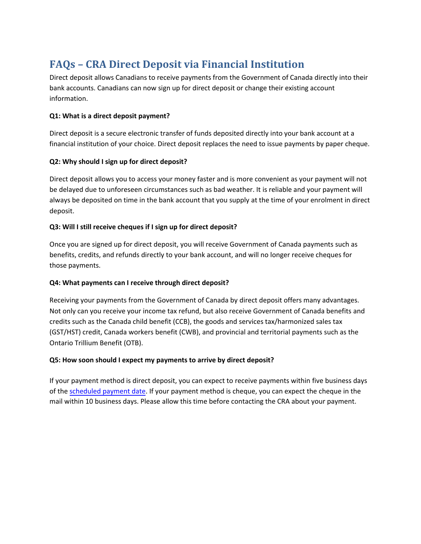# **FAQs – CRA Direct Deposit via Financial Institution**

Direct deposit allows Canadians to receive payments from the Government of Canada directly into their bank accounts. Canadians can now sign up for direct deposit or change their existing account information.

# **Q1: What is a direct deposit payment?**

Direct deposit is a secure electronic transfer of funds deposited directly into your bank account at a financial institution of your choice. Direct deposit replaces the need to issue payments by paper cheque.

## **Q2: Why should I sign up for direct deposit?**

Direct deposit allows you to access your money faster and is more convenient as your payment will not be delayed due to unforeseen circumstances such as bad weather. It is reliable and your payment will always be deposited on time in the bank account that you supply at the time of your enrolment in direct deposit.

## **Q3: Will I still receive cheques if I sign up for direct deposit?**

Once you are signed up for direct deposit, you will receive Government of Canada payments such as benefits, credits, and refunds directly to your bank account, and will no longer receive cheques for those payments.

# **Q4: What payments can I receive through direct deposit?**

Receiving your payments from the Government of Canada by direct deposit offers many advantages. Not only can you receive your income tax refund, but also receive Government of Canada benefits and credits such as the Canada child benefit (CCB), the goods and services tax/harmonized sales tax (GST/HST) credit, Canada workers benefit (CWB), and provincial and territorial payments such as the Ontario Trillium Benefit (OTB).

# **Q5: How soon should I expect my payments to arrive by direct deposit?**

If your payment method is direct deposit, you can expect to receive payments within five business days of the scheduled payment date. If your payment method is cheque, you can expect the cheque in the mail within 10 business days. Please allow this time before contacting the CRA about your payment.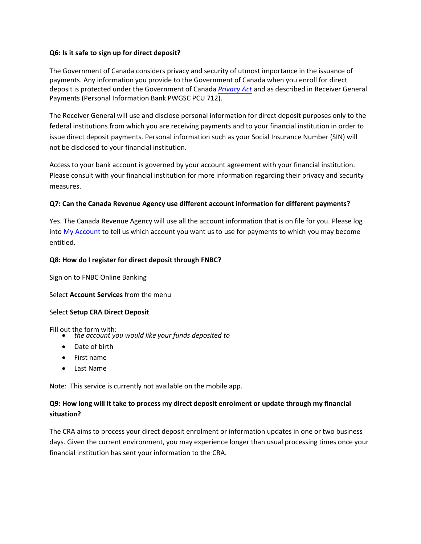## **Q6: Is it safe to sign up for direct deposit?**

The Government of Canada considers privacy and sec[urity of utmos](https://laws-lois.justice.gc.ca/eng/acts/P-21/index.html)t importance in the issuance of payments. Any information you provide to the Government of Canada when you enroll for direct deposit is protected under the Government of Canada *Privacy Act* and as described in Receiver General Payments (Personal Information Bank PWGSC PCU 712).

The Receiver General will use and disclose personal information for direct deposit purposes only to the federal institutions from which you are receiving payments and to your financial institution in order to issue direct deposit payments. Personal information such as your Social Insurance Number (SIN) will not be disclosed to your financial institution.

Access to your bank account is governed by your account agreement with your financial institution. Please consult with your financial institution for more information regarding their privacy and security measures.

## **Q7: Can the Canada Revenue Agency use different account information for different payments?**

Yes. [The Canada R](https://www.canada.ca/en/revenue-agency/services/e-services/e-services-individuals/account-individuals.html)evenue Agency will use all the account information that is on file for you. Please log into My Account to tell us which account you want us to use for payments to which you may become entitled.

#### **Q8: How do I register for direct deposit through FNBC?**

Sign on to FNBC Online Banking

Select **Account Services** from the menu

#### Select **Setup CRA Direct Deposit**

Fill out the form with:

- *the account you would like your funds deposited to*
- Date of birth
- First name
- Last Name

Note: This service is currently not available on the mobile app.

# **Q9: How long will it take to process my direct deposit enrolment or update through my financial situation?**

The CRA aims to process your direct deposit enrolment or information updates in one or two business days. Given the current environment, you may experience longer than usual processing times once your financial institution has sent your information to the CRA.